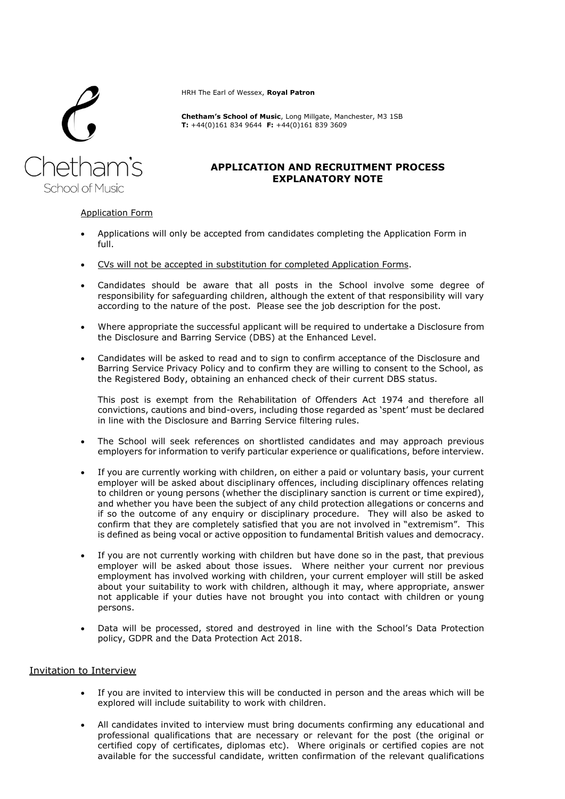

HRH The Earl of Wessex, **Royal Patron**

**Chetham's School of Music**, Long Millgate, Manchester, M3 1SB **T:** +44(0)161 834 9644 **F:** +44(0)161 839 3609

# **APPLICATION AND RECRUITMENT PROCESS EXPLANATORY NOTE**

### Application Form

- Applications will only be accepted from candidates completing the Application Form in full.
- CVs will not be accepted in substitution for completed Application Forms.
- Candidates should be aware that all posts in the School involve some degree of responsibility for safeguarding children, although the extent of that responsibility will vary according to the nature of the post. Please see the job description for the post.
- Where appropriate the successful applicant will be required to undertake a Disclosure from the Disclosure and Barring Service (DBS) at the Enhanced Level.
- Candidates will be asked to read and to sign to confirm acceptance of the Disclosure and Barring Service Privacy Policy and to confirm they are willing to consent to the School, as the Registered Body, obtaining an enhanced check of their current DBS status.

This post is exempt from the Rehabilitation of Offenders Act 1974 and therefore all convictions, cautions and bind-overs, including those regarded as 'spent' must be declared in line with the Disclosure and Barring Service filtering rules.

- The School will seek references on shortlisted candidates and may approach previous employers for information to verify particular experience or qualifications, before interview.
- If you are currently working with children, on either a paid or voluntary basis, your current employer will be asked about disciplinary offences, including disciplinary offences relating to children or young persons (whether the disciplinary sanction is current or time expired), and whether you have been the subject of any child protection allegations or concerns and if so the outcome of any enquiry or disciplinary procedure. They will also be asked to confirm that they are completely satisfied that you are not involved in "extremism". This is defined as being vocal or active opposition to fundamental British values and democracy.
- If you are not currently working with children but have done so in the past, that previous employer will be asked about those issues. Where neither your current nor previous employment has involved working with children, your current employer will still be asked about your suitability to work with children, although it may, where appropriate, answer not applicable if your duties have not brought you into contact with children or young persons.
- Data will be processed, stored and destroyed in line with the School's Data Protection policy, GDPR and the Data Protection Act 2018.

## Invitation to Interview

- If you are invited to interview this will be conducted in person and the areas which will be explored will include suitability to work with children.
- All candidates invited to interview must bring documents confirming any educational and professional qualifications that are necessary or relevant for the post (the original or certified copy of certificates, diplomas etc). Where originals or certified copies are not available for the successful candidate, written confirmation of the relevant qualifications